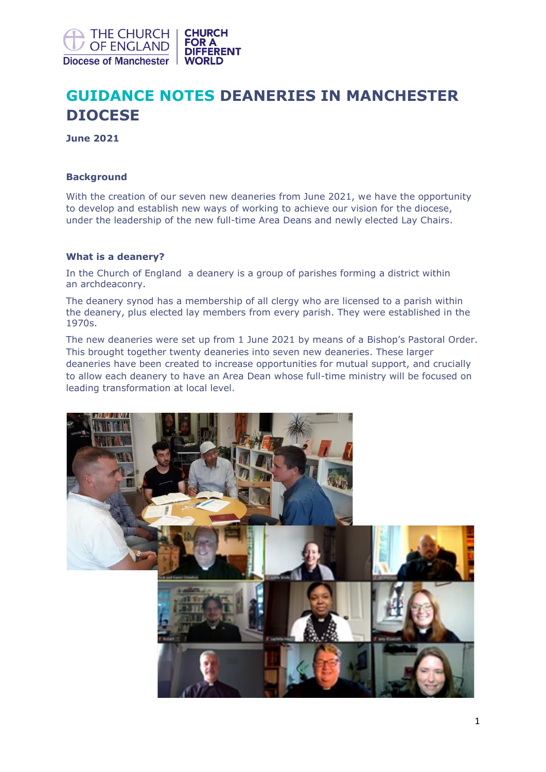

# **GUIDANCE NOTES DEANERIES IN MANCHESTER DIOCESE**

**June 2021**

## **Background**

With the creation of our seven new deaneries from June 2021, we have the opportunity to develop and establish new ways of working to achieve our vision for the diocese, under the leadership of the new full-time Area Deans and newly elected Lay Chairs.

## **What is a deanery?**

In the [Church of England](https://en.wikipedia.org/wiki/Church_of_England) a deanery is a group of [parishes](https://en.wikipedia.org/wiki/Parish) forming a district within an [archdeaconry.](https://en.wikipedia.org/wiki/Archdeaconry)

The [deanery synod](https://en.wikipedia.org/wiki/Deanery_synod) has a membership of all clergy who are licensed to a parish within the deanery, plus elected lay members from every parish. They were established in the 1970s.

The new deaneries were set up from 1 June 2021 by means of a Bishop's Pastoral Order. This brought together twenty deaneries into seven new deaneries. These larger deaneries have been created to increase opportunities for mutual support, and crucially to allow each deanery to have an Area Dean whose full-time ministry will be focused on leading transformation at local level.

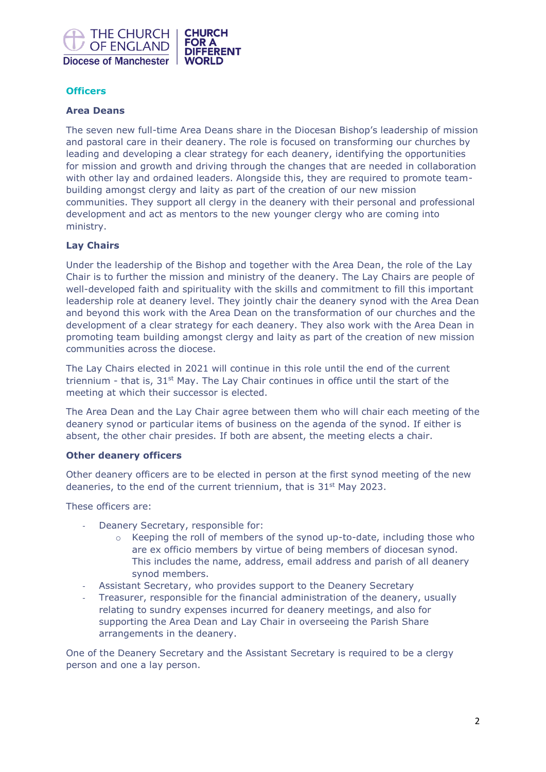

# **Officers**

#### **Area Deans**

The seven new full-time Area Deans share in the Diocesan Bishop's leadership of mission and pastoral care in their deanery. The role is focused on transforming our churches by leading and developing a clear strategy for each deanery, identifying the opportunities for mission and growth and driving through the changes that are needed in collaboration with other lay and ordained leaders. Alongside this, they are required to promote teambuilding amongst clergy and laity as part of the creation of our new mission communities. They support all clergy in the deanery with their personal and professional development and act as mentors to the new younger clergy who are coming into ministry.

#### **Lay Chairs**

Under the leadership of the Bishop and together with the Area Dean, the role of the Lay Chair is to further the mission and ministry of the deanery. The Lay Chairs are people of well-developed faith and spirituality with the skills and commitment to fill this important leadership role at deanery level. They jointly chair the deanery synod with the Area Dean and beyond this work with the Area Dean on the transformation of our churches and the development of a clear strategy for each deanery. They also work with the Area Dean in promoting team building amongst clergy and laity as part of the creation of new mission communities across the diocese.

The Lay Chairs elected in 2021 will continue in this role until the end of the current triennium - that is, 31<sup>st</sup> May. The Lay Chair continues in office until the start of the meeting at which their successor is elected.

The Area Dean and the Lay Chair agree between them who will chair each meeting of the deanery synod or particular items of business on the agenda of the synod. If either is absent, the other chair presides. If both are absent, the meeting elects a chair.

#### **Other deanery officers**

Other deanery officers are to be elected in person at the first synod meeting of the new deaneries, to the end of the current triennium, that is 31<sup>st</sup> May 2023.

These officers are:

- Deanery Secretary, responsible for:
	- $\circ$  Keeping the roll of members of the synod up-to-date, including those who are ex officio members by virtue of being members of diocesan synod. This includes the name, address, email address and parish of all deanery synod members.
- Assistant Secretary, who provides support to the Deanery Secretary
- Treasurer, responsible for the financial administration of the deanery, usually relating to sundry expenses incurred for deanery meetings, and also for supporting the Area Dean and Lay Chair in overseeing the Parish Share arrangements in the deanery.

One of the Deanery Secretary and the Assistant Secretary is required to be a clergy person and one a lay person.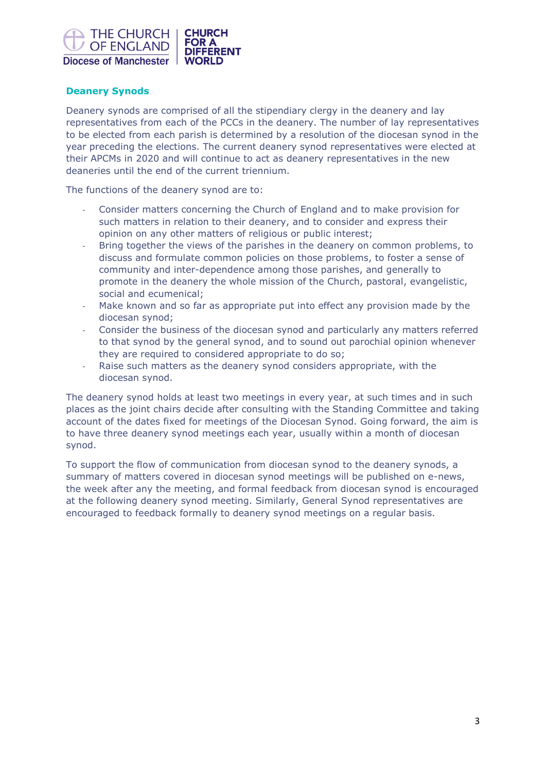

# **Deanery Synods**

Deanery synods are comprised of all the stipendiary clergy in the deanery and lay representatives from each of the PCCs in the deanery. The number of lay representatives to be elected from each parish is determined by a resolution of the diocesan synod in the year preceding the elections. The current deanery synod representatives were elected at their APCMs in 2020 and will continue to act as deanery representatives in the new deaneries until the end of the current triennium.

The functions of the deanery synod are to:

- Consider matters concerning the Church of England and to make provision for such matters in relation to their deanery, and to consider and express their opinion on any other matters of religious or public interest;
- Bring together the views of the parishes in the deanery on common problems, to discuss and formulate common policies on those problems, to foster a sense of community and inter-dependence among those parishes, and generally to promote in the deanery the whole mission of the Church, pastoral, evangelistic, social and ecumenical;
- Make known and so far as appropriate put into effect any provision made by the diocesan synod;
- Consider the business of the diocesan synod and particularly any matters referred to that synod by the general synod, and to sound out parochial opinion whenever they are required to considered appropriate to do so;
- Raise such matters as the deanery synod considers appropriate, with the diocesan synod.

The deanery synod holds at least two meetings in every year, at such times and in such places as the joint chairs decide after consulting with the Standing Committee and taking account of the dates fixed for meetings of the Diocesan Synod. Going forward, the aim is to have three deanery synod meetings each year, usually within a month of diocesan synod.

To support the flow of communication from diocesan synod to the deanery synods, a summary of matters covered in diocesan synod meetings will be published on e-news, the week after any the meeting, and formal feedback from diocesan synod is encouraged at the following deanery synod meeting. Similarly, General Synod representatives are encouraged to feedback formally to deanery synod meetings on a regular basis.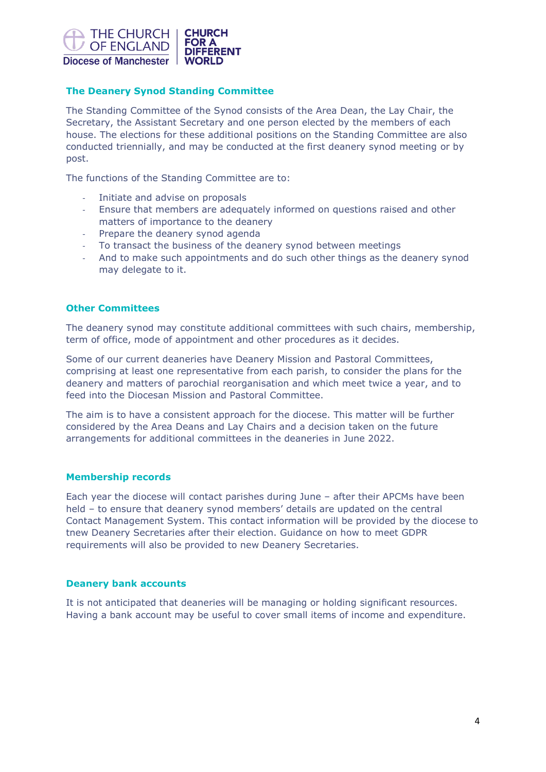

# **The Deanery Synod Standing Committee**

The Standing Committee of the Synod consists of the Area Dean, the Lay Chair, the Secretary, the Assistant Secretary and one person elected by the members of each house. The elections for these additional positions on the Standing Committee are also conducted triennially, and may be conducted at the first deanery synod meeting or by post.

The functions of the Standing Committee are to:

- Initiate and advise on proposals
- Ensure that members are adequately informed on questions raised and other matters of importance to the deanery
- Prepare the deanery synod agenda
- To transact the business of the deanery synod between meetings
- And to make such appointments and do such other things as the deanery synod may delegate to it.

## **Other Committees**

The deanery synod may constitute additional committees with such chairs, membership, term of office, mode of appointment and other procedures as it decides.

Some of our current deaneries have Deanery Mission and Pastoral Committees, comprising at least one representative from each parish, to consider the plans for the deanery and matters of parochial reorganisation and which meet twice a year, and to feed into the Diocesan Mission and Pastoral Committee.

The aim is to have a consistent approach for the diocese. This matter will be further considered by the Area Deans and Lay Chairs and a decision taken on the future arrangements for additional committees in the deaneries in June 2022.

# **Membership records**

Each year the diocese will contact parishes during June – after their APCMs have been held – to ensure that deanery synod members' details are updated on the central Contact Management System. This contact information will be provided by the diocese to tnew Deanery Secretaries after their election. Guidance on how to meet GDPR requirements will also be provided to new Deanery Secretaries.

## **Deanery bank accounts**

It is not anticipated that deaneries will be managing or holding significant resources. Having a bank account may be useful to cover small items of income and expenditure.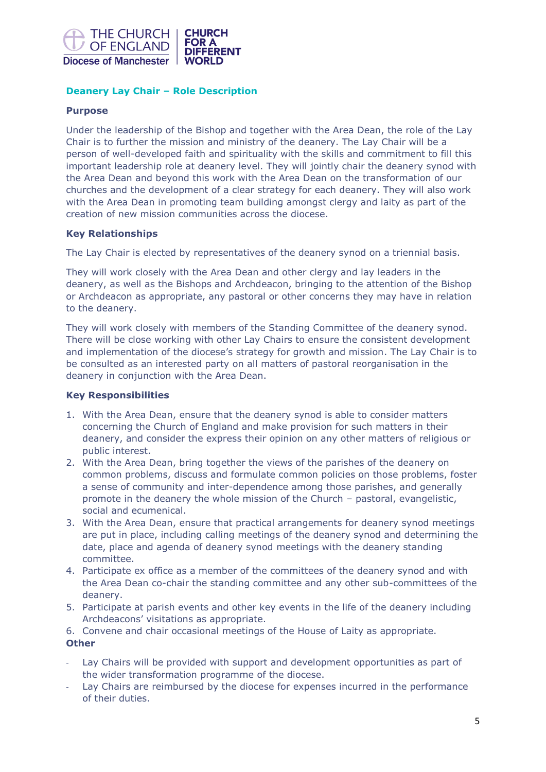

# **Deanery Lay Chair – Role Description**

# **Purpose**

Under the leadership of the Bishop and together with the Area Dean, the role of the Lay Chair is to further the mission and ministry of the deanery. The Lay Chair will be a person of well-developed faith and spirituality with the skills and commitment to fill this important leadership role at deanery level. They will jointly chair the deanery synod with the Area Dean and beyond this work with the Area Dean on the transformation of our churches and the development of a clear strategy for each deanery. They will also work with the Area Dean in promoting team building amongst clergy and laity as part of the creation of new mission communities across the diocese.

## **Key Relationships**

The Lay Chair is elected by representatives of the deanery synod on a triennial basis.

They will work closely with the Area Dean and other clergy and lay leaders in the deanery, as well as the Bishops and Archdeacon, bringing to the attention of the Bishop or Archdeacon as appropriate, any pastoral or other concerns they may have in relation to the deanery.

They will work closely with members of the Standing Committee of the deanery synod. There will be close working with other Lay Chairs to ensure the consistent development and implementation of the diocese's strategy for growth and mission. The Lay Chair is to be consulted as an interested party on all matters of pastoral reorganisation in the deanery in conjunction with the Area Dean.

## **Key Responsibilities**

- 1. With the Area Dean, ensure that the deanery synod is able to consider matters concerning the Church of England and make provision for such matters in their deanery, and consider the express their opinion on any other matters of religious or public interest.
- 2. With the Area Dean, bring together the views of the parishes of the deanery on common problems, discuss and formulate common policies on those problems, foster a sense of community and inter-dependence among those parishes, and generally promote in the deanery the whole mission of the Church – pastoral, evangelistic, social and ecumenical.
- 3. With the Area Dean, ensure that practical arrangements for deanery synod meetings are put in place, including calling meetings of the deanery synod and determining the date, place and agenda of deanery synod meetings with the deanery standing committee.
- 4. Participate ex office as a member of the committees of the deanery synod and with the Area Dean co-chair the standing committee and any other sub-committees of the deanery.
- 5. Participate at parish events and other key events in the life of the deanery including Archdeacons' visitations as appropriate.

6. Convene and chair occasional meetings of the House of Laity as appropriate. **Other**

- Lay Chairs will be provided with support and development opportunities as part of the wider transformation programme of the diocese.
- Lay Chairs are reimbursed by the diocese for expenses incurred in the performance of their duties.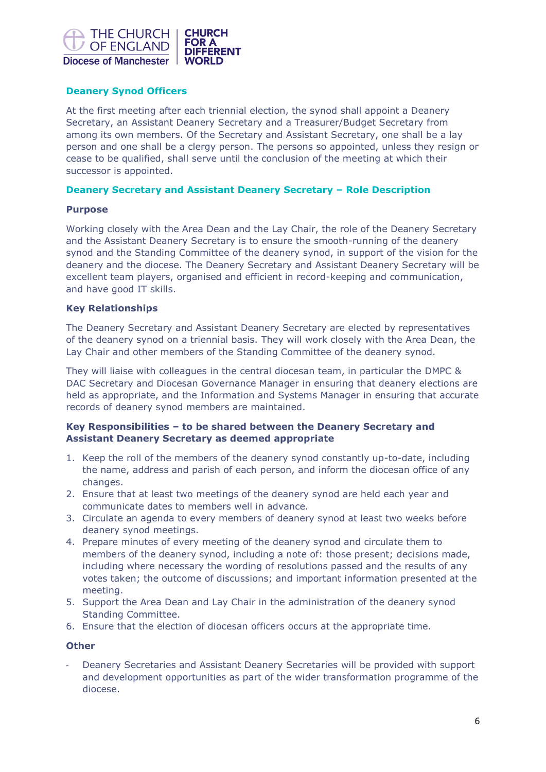

# **Deanery Synod Officers**

At the first meeting after each triennial election, the synod shall appoint a Deanery Secretary, an Assistant Deanery Secretary and a Treasurer/Budget Secretary from among its own members. Of the Secretary and Assistant Secretary, one shall be a lay person and one shall be a clergy person. The persons so appointed, unless they resign or cease to be qualified, shall serve until the conclusion of the meeting at which their successor is appointed.

## **Deanery Secretary and Assistant Deanery Secretary – Role Description**

## **Purpose**

Working closely with the Area Dean and the Lay Chair, the role of the Deanery Secretary and the Assistant Deanery Secretary is to ensure the smooth-running of the deanery synod and the Standing Committee of the deanery synod, in support of the vision for the deanery and the diocese. The Deanery Secretary and Assistant Deanery Secretary will be excellent team players, organised and efficient in record-keeping and communication, and have good IT skills.

## **Key Relationships**

The Deanery Secretary and Assistant Deanery Secretary are elected by representatives of the deanery synod on a triennial basis. They will work closely with the Area Dean, the Lay Chair and other members of the Standing Committee of the deanery synod.

They will liaise with colleagues in the central diocesan team, in particular the DMPC & DAC Secretary and Diocesan Governance Manager in ensuring that deanery elections are held as appropriate, and the Information and Systems Manager in ensuring that accurate records of deanery synod members are maintained.

## **Key Responsibilities – to be shared between the Deanery Secretary and Assistant Deanery Secretary as deemed appropriate**

- 1. Keep the roll of the members of the deanery synod constantly up-to-date, including the name, address and parish of each person, and inform the diocesan office of any changes.
- 2. Ensure that at least two meetings of the deanery synod are held each year and communicate dates to members well in advance.
- 3. Circulate an agenda to every members of deanery synod at least two weeks before deanery synod meetings.
- 4. Prepare minutes of every meeting of the deanery synod and circulate them to members of the deanery synod, including a note of: those present; decisions made, including where necessary the wording of resolutions passed and the results of any votes taken; the outcome of discussions; and important information presented at the meeting.
- 5. Support the Area Dean and Lay Chair in the administration of the deanery synod Standing Committee.
- 6. Ensure that the election of diocesan officers occurs at the appropriate time.

## **Other**

- Deanery Secretaries and Assistant Deanery Secretaries will be provided with support and development opportunities as part of the wider transformation programme of the diocese.